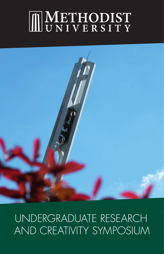# METHODIST



# UNDERGRADUATE RESEARCH AND CREATIVITY SYMPOSIUM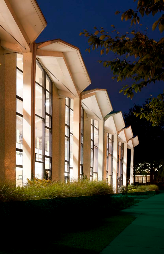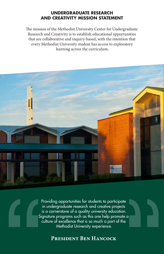#### **UNDERGRADUATE RESEARCH AND CREATIVITY MISSION STATEMENT**

The mission of the Methodist University Center for Undergraduate Research and Creativity is to establish educational opportunities that are collaborative and inquiry-based, with the intention that every Methodist University student has access to exploratory learning across the curriculum.



Providing opportunities for students to participate in undergraduate research and creative projects is a cornerstone of a quality university education. Signature programs such as this one help promote a culture of excellence that is so much a part of the Methodist University experience.

# **President Ben Hancock**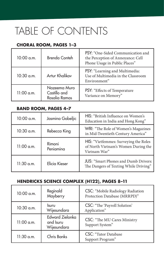# TABLE OF CONTENTS

# **CHORAL ROOM, PAGES 1–3**

| $10:00$ a.m. | Brenda Conteh                                 | PSY: "One-Sided Communication and<br>the Perception of Annoyance: Cell<br>Phone Usage in Public Places" |
|--------------|-----------------------------------------------|---------------------------------------------------------------------------------------------------------|
| $10:30$ a.m. | <b>Artur Khalikov</b>                         | PSY: "Learning and Multimedia:<br>Use of Multimedia in the Classroom<br>Environment"                    |
| $11:00$ a.m. | Nazeema Muro<br>Castillo and<br>Rosalia Ramos | PSY: "Effects of Temperature<br>Variance on Memory"                                                     |

#### **BAND ROOM, PAGES 4–7**

| $10:00$ a.m. | Jasmina Gobeljic    | HIS: "British Influence on Women's<br>Education in India and Hong Kong"                      |
|--------------|---------------------|----------------------------------------------------------------------------------------------|
| $10:30$ a.m. | Rebecca King        | WRI: "The Role of Women's Magazines<br>in Mid-Twentieth Century America"                     |
| $11:00$ a.m. | Rimoni<br>Peniamina | HIS: "Vietfemmes: Surveying the Roles<br>of North Vietnam's Women During the<br>Vietnam War" |
| $11:30$ a.m. | Elicia Kieser       | <b>JUS: "Smart Phones and Dumb Drivers:</b><br>The Dangers of Texting While Driving"         |

# **HENDRICKS SCIENCE COMPLEX (H122), PAGES 8–11**

| $10:00$ a.m. | Reginald<br>Mayberry                        | CSC: "Mobile Radiology Radiation<br>Protection Database (MRRPD)" |
|--------------|---------------------------------------------|------------------------------------------------------------------|
| $10:30$ a.m. | Isuru<br>Wijesundara                        | CSC: "The 'Payroll Solution'<br>Application"                     |
| $11:00$ a.m. | Edward Zielonka<br>and Isuru<br>Wijesundara | CSC: "The MU Cares Ministry<br>Support System"                   |
| 11:30 a.m.   | <b>Chris Banks</b>                          | CSC: "Tutor Database<br>Support Program"                         |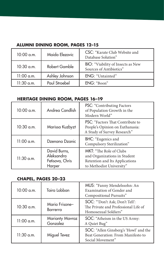# **ALUMNI DINING ROOM, PAGES 12–15**

| $10:00$ a.m. | Maida Elezovic       | CSC: "Karate Club Website and<br>Database Solution"          |
|--------------|----------------------|--------------------------------------------------------------|
| $10:30$ a.m. | <b>Robert Gamble</b> | BIO: "Viability of Insects as New<br>Sources of Antibiotics" |
| $11:00$ a.m. | Ashley Johnson       | ENG: "Untainted"                                             |
| $11:30$ a.m. | Paul Stroebel        | ENG: "Room"                                                  |

#### **HERITAGE DINING ROOM, PAGES 16–19**

| $10:00$ a.m. | Andrea Candlish                                         | PSC: "Contributing Factors<br>of Population Growth in the<br>Modern World"                                            |
|--------------|---------------------------------------------------------|-----------------------------------------------------------------------------------------------------------------------|
| 10:30 a.m.   | Marissa Kuzbyzt                                         | PSC: "Factors That Contribute to<br>People's Opinion on Euthanasia:<br>A Study of Survey Research"                    |
| $11:00$ a.m. | Dzenana Dzanic                                          | BHC: "Eugenics and<br>Compulsory Sterilization"                                                                       |
| $11:30$ a.m. | David Burns,<br>Aleksandra<br>Fetisova, Chris<br>Harper | MKT: "The Role of Clubs<br>and Organizations in Student<br>Retention and Its Applications<br>to Methodist University" |

#### **CHAPEL, PAGES 20–23**

| $10:00$ a.m. | Taira Lobban                       | MUS: "Fanny Mendelssohn: An<br>Examination of Gender and<br>Compositional Pursuits"             |
|--------------|------------------------------------|-------------------------------------------------------------------------------------------------|
| 10:30 a.m.   | Maria Frisone-<br>Barrerra         | SOC: "Don't Ask; Don't Tell':<br>The Private and Professional Life of<br>Homosexual Soldiers"   |
| $11:00$ a.m. | <b>Marianty Mavroz</b><br>Gonzalez | SOC: "Atheism in the US Army:<br>A Quiet Bug"                                                   |
| $11:30$ a.m. | Miguel Tevez                       | SOC: "Allen Ginsberg's 'Howl' and the<br>Beat Generation: From Manifesto to<br>Social Movement" |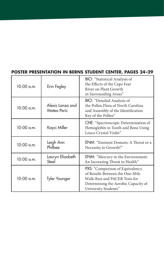# **POSTER PRESENTATION IN BERNS STUDENT CENTER, PAGES 24–29**

| $10:00$ a.m. | Erin Fegley                     | BIO: "Statistical Analysis of<br>the Effects of the Cape Fear<br>River on Plant Growth<br>in Surrounding Areas"                                                    |
|--------------|---------------------------------|--------------------------------------------------------------------------------------------------------------------------------------------------------------------|
| $10:00$ a.m. | Alexis Lanza and<br>Matea Peric | BIO: "Detailed Analysis of<br>the Pollen Flora of North Carolina<br>and Assembly of the Identification<br>Key of the Pollen"                                       |
| $10:00$ a.m. | Kayci Miller                    | CHE: "Spectroscopic Determination of<br>Hemoglobin in Tooth and Bone Using<br>Leuco Crystal Violet"                                                                |
| $10:00$ a.m. | Leigh Ann<br>Philbee            | ENM: "Eminent Domain: A Threat or a<br>Necessity to Growth?"                                                                                                       |
| $10:00$ a.m. | Lauryn Elizabeth<br>Steel       | ENM: "Mercury in the Environment:<br>An Increasing Threat to Health"                                                                                               |
| 10:00 a.m.   | Tyler Younger                   | PXS: "Comparison of Equivalency"<br>of Results Between the One-Mile<br>Walk-Run and PACER Tests for<br>Determining the Aerobic Capacity of<br>University Students" |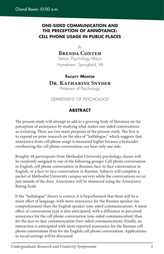# **ONE-SIDED COMMUNICATION AND THE PRECEPTION OF ANNOYANCE: CELL PHONE USAGE IN PUBLIC PLACES**

By

**Brenda Conteh**

Senior, Psychology Major Hometown: Springfield, VA

# **Faculty Mentor Dr. Katharine Snyder**

Professor of Psychology

DEPARTMENT OF PSYCHOLOGY

#### **ABSTRACT**

The present study will attempt to add to a growing body of literature on the perception of annoyance by studying what makes one-sided conversations so irritating. There are two main purposes of the present study. The first is to expand on prior research on the idea of "halfalogue," which suggests that annoyance from cell phone usage is measured higher because a bystander overhearing the cell phone conversation can hear only one side.

Roughly 48 participants from Methodist University psychology classes will be randomly assigned to one of the following groups: Cell phone conversation in English, cell phone conversation in Russian, face-to-face conversation in English, or a face-to-face conversation in Russian. Subjects will complete a packet of Methodist University campus surveys while the conversations occur just outside of the door. Annoyance will be measured using the Annoyance Rating Scale.

If the "halfalogue" theory is correct, it is hypothesized that there will be a main effect of language, with more annoyance for the Russian speaker (no comprehension) than the English speaker (one-sided communication). A main effect of conversation type is also anticipated, with a difference in perceived annoyance for the cell phone conversation (one-sided communication) than for the face-to-face communication (two-sided communication). Finally, an interaction is anticipated with more reported annoyance for the Russian cell phone conversation than for the English cell phone conversation. Applications to social settings will be discussed.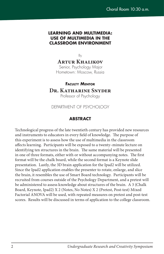#### **LEARNING AND MULTIMEDIA: USE OF MULTIMEDIA IN THE CLASSROOM ENVIRONMENT**

By

# **Artur Khalikov**

 Senior, Psychology Major Hometown: Moscow, Russia

# **Faculty Mentor Dr. Katharine Snyder**

Professor of Psychology

DEPARTMENT OF PSYCHOLOGY

#### **ABSTRACT**

Technological progress of the late twentieth century has provided new resources and instruments to educators in every field of knowledge. The purpose of this experiment is to assess how the use of multimedia in the classroom affects learning. Participants will be exposed to a twenty–minute lecture on identifying ten structures in the brain. The same material will be presented in one of three formats, either with or without accompanying notes. The first format will be the chalk board, while the second format is a Keynote slide presentation. Lastly, the 3D brain application for the Ipad2 will be utilized. Since the Ipad2 application enables the presenter to rotate, enlarge, and slice the brain, it resembles the use of Smart Board technology. Participants will be recruited from courses outside of the Psychology Department, and a pretest will be administered to assess knowledge about structures of the brain. A 3 (Chalk Board, Keynote, Ipad2) X 2 (Notes, No Notes) X 2 (Pretest, Post-test) Mixed Factorial ANOVA will be used, with repeated measures on pretest and post-test scores. Results will be discussed in terms of application to the college classroom.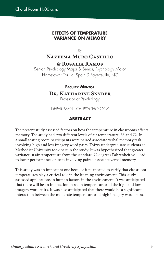#### **EFFECTS OF TEMPERATURE VARIANCE ON MEMORY**

By

# **Nazeema Muro Castillo**

#### **& Rosalia Ramos**

Senior, Psychology Major & Senior, Psychology Major Hometown: Trujillo, Spain & Fayetteville, NC

#### **Faculty Mentor**

# **Dr. Katharine Snyder**

Professor of Psychology

DEPARTMENT OF PSYCHOLOGY

#### **ABSTRACT**

The present study assessed factors on how the temperature in classrooms affects memory. The study had two different levels of air temperature, 85 and 72. In a small testing room participants were paired associate verbal memory task involving high and low imagery word pairs. Thirty undergraduate students at Methodist University took part in the study. It was hypothesized that greater variance in air temperature from the standard 72 degrees Fahrenheit will lead to lower performance on tests involving paired associate verbal memory.

This study was an important one because it purported to verify that classroom temperatures play a critical role in the learning environment. This study assessed applications in human factors in the environment. It was anticipated that there will be an interaction in room temperature and the high and low imagery word pairs. It was also anticipated that there would be a significant interaction between the moderate temperature and high imagery word pairs.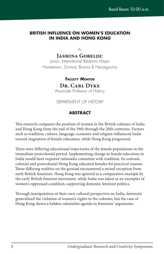#### **BRITISH INFLUENCE ON WOMEN'S EDUCATION IN INDIA AND HONG KONG**

By

**Jasmina Gobeljic**

Junior, International Relations Major Hometown: Zivinice, Bosnia & Herzegovina

#### **Faculty Mentor**

#### **Dr. Carl Dyke**

Associate Professor of History

#### DEPARTMENT OF HISTORY

#### **ABSTRACT**

This research compares the position of women in the British colonies of India and Hong Kong from the end of the 19th through the 20th centuries. Factors such as tradition, culture, language, economy and religion influenced India toward stagnation of female education, while Hong Kong progressed.

There were differing educational trajectories of the female populations in the immediate postcolonial period. Implementing change in female education in India would have required rationales consistent with tradition. In contrast, colonial and postcolonial Hong Kong educated females for practical reasons. These differing realities on the ground encountered a mixed reception from early British feminists. Hong Kong was ignored as a comparative example by the early British feminist movement, while India was taken as an exemplar of women's oppressed condition, supporting domestic feminist politics.

Through manipulation of their own cultural perspective on India, feminists generalized the violation of women's rights in the colonies; but the case of Hong Kong shows a hidden colonialist agenda in feminists' arguments.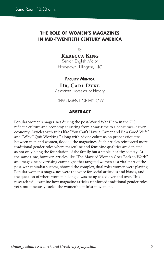# **THE ROLE OF WOMEN'S MAGAZINES IN MID-TWENTIETH CENTURY AMERICA**

By

**Rebecca King** Senior, English Major

Hometown: Lillington, NC

#### **Faculty Mentor**

# **Dr. Carl Dyke**

Associate Professor of History

#### DEPARTMENT OF HISTORY

#### **ABSTRACT**

Popular women's magazines during the post-World War II era in the U.S. reflect a culture and economy adjusting from a war-time to a consumer–driven economy. Articles with titles like "You Can't Have a Career and Be a Good Wife" and "Why I Quit Working," along with advice columns on proper etiquette between men and women, flooded the magazines. Such articles reinforced more traditional gender roles where masculine and feminine qualities are depicted as not only being the foundation of the family but a stable, healthy society. At the same time, however, articles like "The Married Woman Goes Back to Work" and magazine advertising campaigns that targeted women as a vital part of the post-war capitalist success, showed the complex, dual roles women were playing. Popular women's magazines were the voice for social attitudes and biases, and the question of where women belonged was being asked over and over. This research will examine how magazine articles reinforced traditional gender roles yet simultaneously fueled the women's feminist movement.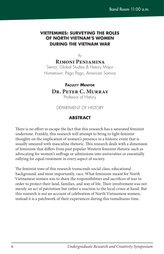#### **VIETFEMMES: SURVEYING THE ROLES OF NORTH VIETNAM'S WOMEN DURING THE VIETNAM WAR**

By

**Rimoni Peniamina**

Senior, Global Studies & History Major Hometown: Pago Pago, American Samoa

> **Faculty Mentor Dr. Peter C. Murray** Professor of History

DEPARTMENT OF HISTORY

#### **ABSTRACT**

There is no effort to escape the fact that this research has a saturated feminist undertone. Frankly, this research will attempt to bring to light feminist thoughts on the implication of women's presence in a historic event that is usually smeared with masculine rhetoric. This research deals with a dimension of feminism that differs from past popular Western feminist rhetoric such as advocating for women's suffrage or admissions into universities or essentially rallying for equal treatment in every aspect of society.

The feminist tone of this research transcends social class, educational background, and most importantly, race. What feminism meant for North Vietnamese women was to share the responsibilities and sacrifices of war in order to protect their land, families, and way of life. Their involvement was not merely an act of patriotism but rather a reaction to the local crises at hand. But this research is not an account of celebration of North Vietnamese women; instead it is a patchwork of their experiences during this tumultuous time.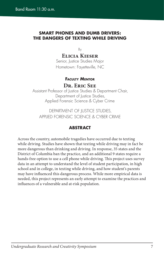#### **SMART PHONES AND DUMB DRIVERS: THE DANGERS OF TEXTING WHILE DRIVING**

By

# **Elicia Kieser**

Senior, Justice Studies Major Hometown: Fayetteville, NC

#### **Faculty Mentor Dr. Eric See**

Assistant Professor of Justice Studies & Department Chair, Department of Justice Studies, Applied Forensic Science & Cyber Crime

DEPARTMENT OF JUSTICE STUDIES, APPLIED FORENSIC SCIENCE & CYBER CRIME

#### **ABSTRACT**

Across the country, automobile tragedies have occurred due to texting while driving. Studies have shown that texting while driving may in fact be more dangerous than drinking and driving. In response, 35 states and the District of Columbia ban the practice, and an additional 9 states require a hands-free option to use a cell phone while driving. This project uses survey data in an attempt to understand the level of student participation, in high school and in college, in texting while driving, and how student's parents may have influenced this dangerous process. While more empirical data is needed, this project represents an early attempt to examine the practices and influences of a vulnerable and at-risk population.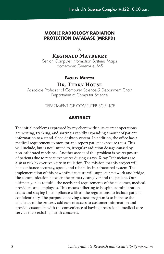#### **MOBILE RADIOLOGY RADIATION PROTECTION DATABASE (MRRPD)**

By

#### **Reginald Mayberry**

Senior, Computer Information Systems Major Hometown: Greenville, MS

#### **Faculty Mentor**

# **Dr. Terry House**

Associate Professor of Computer Science & Department Chair, Department of Computer Science

DEPARTMENT OF COMPUTER SCIENCE

#### **ABSTRACT**

The initial problems expressed by my client within its current operations are writing, tracking, and sorting a rapidly expanding amount of patient information to a stand-alone desktop system. In addition, the office has a medical requirement to monitor and report patient exposure rates. This will include, but is not limited to, irregular radiation dosage caused by non-calibrated machines. Another aspect of this problem is overexposure of patients due to repeat exposures during x-rays. X-ray Technicians are also at risk by overexposure to radiation. The mission for this project will be to enhance accuracy, speed, and reliability in a fractured system. The implementation of this new infrastructure will support a network and bridge the communication between the primary caregiver and the patient. Our ultimate goal is to fulfill the needs and requirements of the customer, medical providers, and employees. This means adhering to hospital administration codes and staying in compliance with all the regulations, to include patient confidentiality. The purpose of having a new program is to increase the efficiency of the process, add ease of access to customer information and provide customers with the convenience of having professional medical care service their existing health concerns.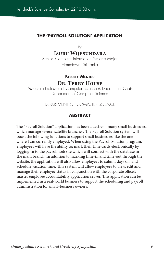#### **THE 'PAYROLL SOLUTION' APPLICATION**

By

# **Isuru Wijesundara**

Senior, Computer Information Systems Major Hometown: Sri Lanka

# **Faculty Mentor Dr. Terry House**

Associate Professor of Computer Science & Department Chair, Department of Computer Science

#### DEPARTMENT OF COMPUTER SCIENCE

#### **ABSTRACT**

The "Payroll Solution" application has been a desire of many small businesses, which manage several satellite branches. The Payroll Solution system will boast the following functions to support small businesses like the one where I am currently employed. When using the Payroll Solution program, employees will have the ability to: mark their time cards electronically by logging-in to the payroll web site which will connect with the database in the main branch. In addition to marking time-in and time-out through the website, the application will also allow employees to submit days off, and schedule vacation time. This system will allow employees to view, edit and manage their employee status in conjunction with the corporate office's master employee accountability application server. This application can be implemented in a real-world business to support the scheduling and payroll administration for small–business owners.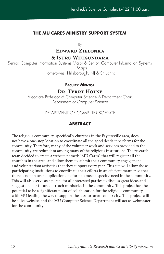#### **THE MU CARES MINISTRY SUPPORT SYSTEM**

By

**Edward Zielonka** 

**& Isuru Wijesundara**

Senior, Computer Information Systems Major & Senior, Computer Information Systems Major Hometowns: Hillsborough, NJ & Sri Lanka

> **Faculty Mentor Dr. Terry House**

Associate Professor of Computer Science & Department Chair, Department of Computer Science

DEPARTMENT OF COMPUTER SCIENCE

#### **ABSTRACT**

The religious community, specifically churches in the Fayetteville area, does not have a one-stop location to coordinate all the good deeds it performs for the community. Therefore, many of the volunteer work and services provided to the community are redundant among many of the religious institutions. The research team decided to create a website named: "MU Cares" that will register all the churches in the area, and allow them to submit their community engagement and volunteerism activities that they support every year. This site will allow those participating institutions to coordinate their efforts in an efficient manner so that there is not an over-duplication of efforts to meet a specific need in the community. This will also serve as a portal for all interested parties to discuss great ideas and suggestions for future outreach ministries in the community. This project has the potential to be a significant point of collaboration for the religious community, with MU leading the way to support the less fortunate of our city. This project will be a live website, and the MU Computer Science Department will act as webmaster for the community.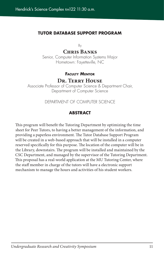#### **TUTOR DATABASE SUPPORT PROGRAM**

By

# **Chris Banks**

Senior, Computer Information Systems Major Hometown: Fayetteville, NC

# **Faculty Mentor Dr. Terry House**

Associate Professor of Computer Science & Department Chair, Department of Computer Science

DEPARTMENT OF COMPUTER SCIENCE

#### **ABSTRACT**

This program will benefit the Tutoring Department by optimizing the time sheet for Peer Tutors, to having a better management of the information, and providing a paperless environment. The Tutor Database Support Program will be created in a web-based approach that will be installed in a computer reserved specifically for this purpose. The location of the computer will be in the Library, downstairs. The program will be installed and maintained by the CSC Department, and managed by the supervisor of the Tutoring Department. This proposal has a real-world application at the MU Tutoring Center, where the staff member in charge of the tutors will have a electronic support mechanism to manage the hours and activities of his student workers.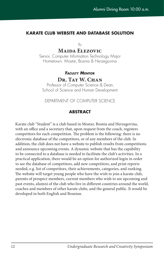#### **KARATE CLUB WEBSITE AND DATABASE SOLUTION**

By

# **Maida Elezovic**

Senior, Computer Information Technology Major Hometown: Mostar, Bosnia & Herzegovina

#### **Faculty Mentor**

# DR. TAT W. CHAN

Professor of Computer Science & Dean, School of Science and Human Development

DEPARTMENT OF COMPUTER SCIENCE

#### **ABSTRACT**

Karate club "Student" is a club based in Mostar, Bosnia and Herzegovina, with an office and a secretary that, upon request from the coach, registers competitors for each competition. The problem is the following: there is no electronic database of the competitors, or of any members of the club. In addition, the club does not have a website to publish results from competitions and announce upcoming events. A dynamic website that has the capability to be connected to a database is needed to facilitate the club's activities. In a practical application, there would be an option for authorized login in order to see the database of competitors, add new competitors, and print reports needed, e.g. list of competitors, their achievements, categories, and ranking. The website will target young people who have the wish to join a karate club, parents of prospect members, current members who wish to see upcoming and past events, alumni of the club who live in different countries around the world, coaches and members of other karate clubs, and the general public. It would be developed in both English and Bosnian.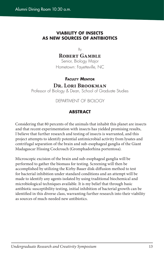#### **VIABILITY OF INSECTS AS NEW SOURCES OF ANTIBIOTICS**

By

**Robert Gamble**

Senior, Biology Major Hometown: Fayetteville, NC

#### **Faculty Mentor**

#### **Dr. Lori Brookman**

Professor of Biology & Dean, School of Graduate Studies

#### DEPARTMENT OF BIOLOGY

#### **ABSTRACT**

Considering that 80 percents of the animals that inhabit this planet are insects and that recent experimentation with insects has yielded promising results, I believe that further research and testing of insects is warranted, and this project attempts to identify potential antimicrobial activity from lysates and centrifugal separation of the brain and sub-esophageal ganglia of the Giant Madagascar Hissing Cockroach (Gromphadorhina portentosa).

Microscopic excision of the brain and sub-esophageal ganglia will be performed to gather the biomass for testing. Screening will then be accomplished by utilizing the Kirby-Bauer disk-diffusion method to test for bacterial inhibition under standard conditions and an attempt will be made to identify any agents isolated by using traditional biochemical and microbiological techniques available. It is my belief that through basic antibiotic susceptibility testing, initial inhibition of bacterial growth can be identified in this diverse class, warranting further research into their viability as sources of much-needed new antibiotics.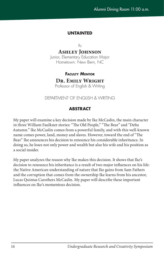#### **UNTAINTED**

By

# **Ashley Johnson**

Junior, Elementary Education Major Hometown: New Bern, NC

# **Faculty Mentor Dr. Emily Wright**

Professor of English & Writing

DEPARTMENT OF ENGLISH & WRITING

#### **ABSTRACT**

My paper will examine a key decision made by Ike McCaslin, the main character in three William Faulkner stories: "The Old People," "The Bear" and "Delta Autumn." Ike McCaslin comes from a powerful family, and with this well-known name comes power, land, money and slaves. However, toward the end of "The Bear" Ike announces his decision to renounce his considerable inheritance. In doing so, he loses not only power and wealth but also his wife and his position as a social insider.

My paper analyzes the reason why Ike makes this decision. It shows that Ike's decision to renounce his inheritance is a result of two major influences on his life: the Native American understanding of nature that Ike gains from Sam Fathers and the corruption that comes from the ownership Ike learns from his ancestor, Lucas Quintas Carothers McCaslin. My paper will describe these important influences on Ike's momentous decision.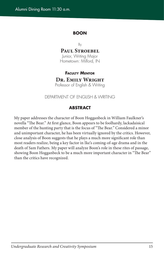Alumni Dining Room 11:30 a.m.

#### **BOON**

By

# **Paul Stroebel**

Junior, Writing Major Hometown: Milford, IN

#### **Faculty Mentor**

**Dr. Emily Wright**

Professor of English & Writing

DEPARTMENT OF ENGLISH & WRITING

#### **ABSTRACT**

My paper addresses the character of Boon Hogganbeck in William Faulkner's novella "The Bear." At first glance, Boon appears to be foolhardy, lackadaisical member of the hunting party that is the focus of "The Bear." Considered a minor and unimportant character, he has been virtually ignored by the critics. However, close analysis of Boon suggests that he plays a much more significant role than most readers realize, being a key factor in Ike's coming-of-age drama and in the death of Sam Fathers. My paper will analyze Boon's role in these rites of passage, showing Boon Hogganbeck to be a much more important character in "The Bear" than the critics have recognized.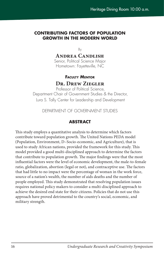#### **CONTRIBUTING FACTORS OF POPULATION GROWTH IN THE MODERN WORLD**

By

**Andrea Candlish**

Senior, Political Science Major Hometown: Fayetteville, NC

#### **Faculty Mentor**

#### **Dr. Drew Ziegler**

Professor of Political Science, Department Chair of Government Studies & the Director, Lura S. Tally Center for Leadership and Development

DEPARTMENT OF GOVERNMENT STUDIES

#### **ABSTRACT**

This study employs a quantitative analysis to determine which factors contribute toward population growth. The United Nations PEDA model (Population, Environment, D–Socio-economic, and Agriculture), that is used to study African nations, provided the framework for this study. This model provided a good multi-disciplined approach to determine the factors that contribute to population growth. The major findings were that the most influential factors were the level of economic development, the male-to-female ratio, globalization, abortion (legal or not), and contraceptive use. The factors that had little to no impact were the percentage of woman in the work force, source of a nation's wealth, the number of aids deaths and the number of people employed. This study demonstrated that resolving population issues requires national policy makers to consider a multi-disciplined approach to achieve the desired end state for their citizens. Policies that do not use this approach have proved detrimental to the country's social, economic, and military strength.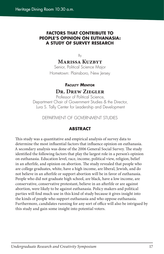#### **FACTORS THAT CONTRIBUTE TO PEOPLE'S OPINION ON EUTHANASIA: A STUDY OF SURVEY RESEARCH**

By

**Marissa Kuzbyt**

Senior, Political Science Major Hometown: Plainsboro, New Jersey

# **Faculty Mentor Dr. Drew Ziegler**

Professor of Political Science, Department Chair of Government Studies & the Director, Lura S. Tally Center for Leadership and Development

DEPARTMENT OF GOVERNMENT STUDIES

#### **ABSTRACT**

This study was a quantitative and empirical analysis of survey data to determine the most influential factors that influence opinion on euthanasia. A secondary analysis was done of the 2006 General Social Survey. The study identified the following factors that play the largest role in a person's opinion on euthanasia. Education level, race, income, political view, religion, belief in an afterlife, and opinion on abortion. The study revealed that people who are college graduates, white, have a high income, are liberal, Jewish, and do not believe in an afterlife or support abortion will be in favor of euthanasia. People who did not graduate high school, are black, have a low income, are conservative, conservative protestant, believe in an afterlife or are against abortion, were likely to be against euthanasia. Policy makers and political parties will find much use in this kind of study because it gives insight into the kinds of people who support euthanasia and who oppose euthanasia. Furthermore, candidates running for any sort of office will also be intrigued by this study and gain some insight into potential voters.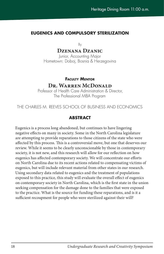#### **EUGENICS AND COMPULSORY STERILIZATION**

By

# **Dzenana Dzanic**

Junior, Accounting Major Hometown: Doboj, Bosnia & Herzegovina

# **Faculty Mentor**

#### **Dr. Warren McDonald**

Professor of Health Care Administration & Director, The Professional MBA Program

THE CHARLES M. REEVES SCHOOL OF BUSINESS AND ECONOMICS

#### **ABSTRACT**

Eugenics is a process long abandoned, but continues to have lingering negative effects on many in society. Some in the North Carolina legislature are attempting to provide reparations to those citizens of the state who were affected by this process. This is a controversial move, but one that deserves our review. While it seems to be clearly unconscionable by those in contemporary society, it is not new, and this research will allow for our reflection on how eugenics has affected contemporary society. We will concentrate our efforts on North Carolina due to its recent actions related to compensating victims of eugenics, but will include relevant material from other states in our research. Using secondary data related to eugenics and the treatment of populations exposed to this practice, this study will evaluate the overall effect of eugenics on contemporary society in North Carolina, which is the first state in the union seeking compensation for the damage done to the families that were exposed to the practice. What is the source for funding these reparations, and is it a sufficient recoupment for people who were sterilized against their will?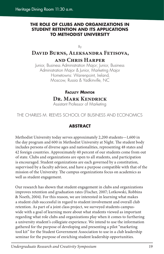#### **THE ROLE OF CLUBS AND ORGANIZATIONS IN STUDENT RETENTION AND ITS APPLICATIONS TO METHODIST UNIVERSITY**

By

**David Burns, Aleksandra Fetisova, and Chris Harper**

Junior, Business Administration Major; Junior, Business Administration Major & Junior, Marketing Major Hometowns: Warrenpoint, Ireland, Moscow, Russia & Yadkinville, NC

# **Faculty Mentor Dr. Mark Kendrick**

Assistant Professor of Marketing

THE CHARLES M. REEVES SCHOOL OF BUSINESS AND ECONOMICS

#### **ABSTRACT**

Methodist University today serves approximately 2,200 students—1,600 in the day program and 600 in Methodist University at Night. The student body includes persons of diverse ages and nationalities, representing 48 states and 42 foreign countries. Approximately 40 percent of our students come from out of state. Clubs and organizations are open to all students, and participation is encouraged. Student organizations are each governed by a constitution, supervised by a faculty advisor, and have a purpose compatible with that of the mission of the University. The campus organizations focus on academics as well as student engagement.

Our research has shown that student engagement in clubs and organizations improves retention and graduation rates (Fischer, 2007; Lotkowski, Robbins & Noeth, 2004). For this reason, we are interested in learning what makes a student club successful in regard to student involvement and overall club retention. As part of a joint class project, we surveyed students campuswide with a goal of learning more about what students viewed as important regarding what role clubs and organizations play when it comes to furthering a university student's collegiate experience. We intend to use the information gathered for the purpose of developing and presenting a pilot "marketing tool kit" for the Student Government Association to use in a club leadership seminar for the purpose of enriching student leadership opportunities.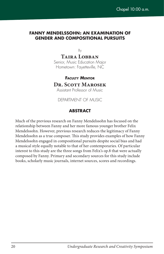#### **FANNY MENDELSSOHN: AN EXAMINATION OF GENDER AND COMPOSITIONAL PURSUITS**

By

**Taira Lobban**

Senior, Music Education Major Hometown: Fayetteville, NC

#### **Faculty Mentor**

#### **Dr. Scott Marosek**

Assistant Professor of Music

#### DEPARTMENT OF MUSIC

#### **ABSTRACT**

Much of the previous research on Fanny Mendelssohn has focused on the relationship between Fanny and her more famous younger brother Felix Mendelssohn. However, previous research reduces the legitimacy of Fanny Mendelssohn as a true composer. This study provides examples of how Fanny Mendelssohn engaged in compositional pursuits despite social bias and had a musical style equally notable to that of her contemporaries. Of particular interest to this study are the three songs from Felix's op.8 that were actually composed by Fanny. Primary and secondary sources for this study include books, scholarly music journals, internet sources, scores and recordings.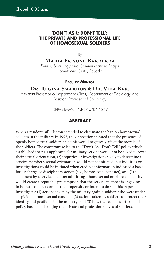#### **'DON'T ASK; DON'T TELL': THE PRIVATE AND PROFESSIONAL LIFE OF HOMOSEXUAL SOLDIERS**

By

**Maria Frisone-Barrerra**

Senior, Sociology and Communications Major Hometown: Quito, Ecuador

#### **Faculty Mentor**

# **Dr. Regina Smardon & Dr. Vida Bajc**

Assistant Professor & Department Chair, Department of Sociology and Assistant Professor of Sociology

DEPARTMENT OF SOCIOLOGY

#### **ABSTRACT**

When President Bill Clinton intended to eliminate the ban on homosexual soldiers in the military in 1993, the opposition insisted that the presence of openly homosexual soldiers in a unit would negatively affect the morale of the soldiers. The compromise led to the "Don't Ask Don't Tell" policy which established that: (1) applicants for military service would not be asked to reveal their sexual orientation, (2) inquiries or investigations solely to determine a service member's sexual orientation would not be initiated, but inquiries or investigations could be initiated when credible information indicated a basis for discharge or disciplinary action (e.g., homosexual conduct), and (3) a statement by a service member admitting a homosexual or bisexual identity would create a reputable presumption that the service member is engaging in homosexual acts or has the propensity or intent to do so. This paper investigates: (1) actions taken by the military against soldiers who were under suspicion of homosexual conduct; (2) actions taken by soldiers to protect their identity and positions in the military; and (3) how the recent overturn of this policy has been changing the private and professional lives of soldiers.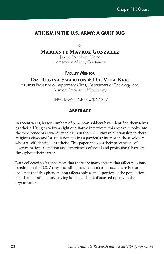#### **ATHEISM IN THE U.S. ARMY: A QUIET BUG**

By

#### **Marianty Mavroz Gonzalez**

Junior, Sociology Major Hometown: Mixco, Guatemala

#### **Faculty Mentor**

#### **Dr. Regina Smardon & Dr. Vida Bajc**

Assistant Professor & Department Chair, Department of Sociology and Assistant Professor of Sociology

#### DEPARTMENT OF SOCIOLOGY

#### **ABSTRACT**

In recent years, larger numbers of American soldiers have identified themselves as atheist. Using data from eight qualitative interviews, this research looks into the experience of active-duty soldiers in the U.S. Army in relationship to their religious views and/or affiliation, taking a particular interest in those soldiers who are self-identified as atheist. This paper analyzes their perceptions of discrimination, alienation and experiences of social and professional barriers throughout their career.

Data collected so far evidences that there are many factors that affect religious freedom in the U.S. Army, including issues of rank and race. There is also evidence that this phenomenon affects only a small portion of the population and that it is still an underlying issue that is not discussed openly in the organization.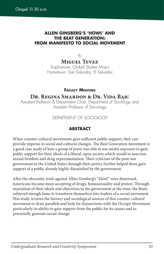#### **ALLEN GINSBERG'S 'HOWL' AND THE BEAT GENERATION: FROM MANIFESTO TO SOCIAL MOVEMENT**

By

**Miguel Tevez**

Sophomore, Global Studies Major Hometown: San Salvador, El Salvador

# **Faculty Mentors Dr. Regina Smardon & Dr. Vida Bajc**

Assistant Professor & Department Chair, Department of Sociology and Assistant Professor of Sociology

DEPARTMENT OF SOCIOLOGY

# **ABSTRACT**

When counter-cultural movements gain sufficient public support, they can provide impetus to social and cultural changes. The Beat Generation movement is a good case study of how a group of poets was able to use media exposure to gain public support for their ideals of a liberal, open society which would to sanction sexual freedom and drug experimentation. Their criticism of the post-war government in the United States through their poetry further helped them gain support of a public already highly dissatisfied by the government.

After the obscenity trials against Allan Ginsberg's "Howl" were dismissed, Americans became more accepting of drugs, homosexuality and protest. Through exposition of their ideals and objections to the government at the time, the Beats achieved enough fame to transform themselves into leaders of a social movement. This study reviews the literary and sociological sources of this counter-cultural movement to draw parallels and look for disjunctions with the Occupy Movement, particularly its ability to gain support from the public for its causes and to potentially generate social change.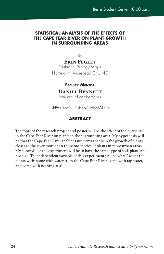#### **STATISTICAL ANALYSIS OF THE EFFECTS OF THE CAPE FEAR RIVER ON PLANT GROWTH IN SURROUNDING AREAS**

By

# **Erin Fegley**

Freshman, Biology Major Hometown: Morehead City, NC

# **Faculty Mentor**

**Daniel Bennett**

Instructor of Mathematics

DEPARTMENT OF MATHEMATICS

#### **ABSTRACT**

The topic of the research project and poster will be the effect of the nutrients in the Cape Fear River on plants in the surrounding area. My hypothesis will be that the Cape Fear River includes nutrients that help the growth of plants closer to the river more than the same species of plants in more urban areas. My controls for the experiment will be to have the same type of soil, plant, and pot size. The independent variable of this experiment will be what I water the plants with: some with water from the Cape Fear River, some with tap water, and some with nothing at all.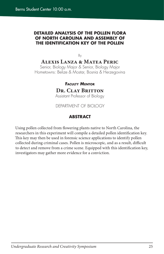#### **DETAILED ANALYSIS OF THE POLLEN FLORA OF NORTH CAROLINA AND ASSEMBLY OF THE IDENTIFICATION KEY OF THE POLLEN**

By

# **Alexis Lanza & Matea Peric**

Senior, Biology Major & Senior, Biology Major Hometowns: Belize & Mostar, Bosnia & Herzegovina

# **Faculty Mentor Dr. Clay Britton** Assistant Professor of Biology

DEPARTMENT OF BIOLOGY

#### **ABSTRACT**

Using pollen collected from flowering plants native to North Carolina, the researchers in this experiment will compile a detailed pollen identification key. This key may then be used in forensic science applications to identify pollen collected during criminal cases. Pollen is microscopic, and as a result, difficult to detect and remove from a crime scene. Equipped with this identification key, investigators may gather more evidence for a conviction.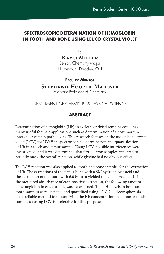#### **SPECTROSCOPIC DETERMINATION OF HEMOGLOBIN IN TOOTH AND BONE USING LEUCO CRYSTAL VIOLET**

By

**Kayci Miller**

Senior, Chemistry Major Hometown: Dresden, OH

#### **Faculty Mentor**

**Stephanie Hooper–Marosek**

Assistant Professor of Chemistry

DEPARTMENT OF CHEMISTRY & PHYSICAL SCIENCE

#### **ABSTRACT**

Determination of hemoglobin (Hb) in skeletal or dried remains could have many useful forensic applications such as determination of a post mortem interval or certain pathologies. This research focuses on the use of leuco crystal violet (LCV) for UV/V in spectroscopic determination and quantification of Hb in a tooth and femur sample. Using LCV, possible interferences were investigated, and it was determined that ferrous iron samples appeared to actually mask the overall reaction, while glycine had no obvious effect.

The LCV reaction was also applied to tooth and bone samples for the extraction of Hb. The extractions of the femur bone with 0.5M hydrochloric acid and the extraction of the tooth with 6.0 M urea yielded the violet product. Using the measured absorbance of each positive extraction, the following amount of hemoglobin in each sample was determined. Thus, Hb levels in bone and tooth samples were detected and quantified using LCV. Gel electrophoresis is not a reliable method for quantifying the Hb concentration in a bone or tooth sample, so using LCV is preferable for this purpose.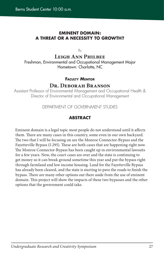#### **EMINENT DOMAIN: A THREAT OR A NECESSITY TO GROWTH?**

By

# **Leigh Ann Philbee**

Freshman, Environmental and Occupational Management Major Hometown: Charlotte, NC

#### **Faculty Mentor**

#### **Dr. Deborah Branson**

Assistant Professor of Environmental Management and Occupational Health & Director of Environmental and Occupational Management

DEPARTMENT OF GOVERNMENT STUDIES

#### **ABSTRACT**

Eminent domain is a legal topic most people do not understand until it affects them. There are many cases in this country, some even in our own backyard. The two that I will be focusing on are the Monroe Connector-Bypass and the Fayetteville Bypass (I-295). These are both cases that are happening right now. The Monroe Connector-Bypass has been caught up in environmental lawsuits for a few years. Now, the court cases are over and the state is continuing to get money so it can break ground sometime this year and put the bypass right through farmland and low income housing. Land for the Fayetteville Bypass has already been cleared, and the state is starting to pave the roads to finish the bypass. There are many other options out there aside from the use of eminent domain. This project will show the impacts of these two bypasses and the other options that the government could take.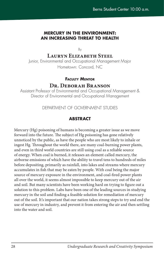#### **MERCURY IN THE ENVIRONMENT: AN INCREASING THREAT TO HEALTH**

By

# **Lauryn Elizabeth Steel**

Junior, Environmental and Occupational Management Major Hometown: Concord, NC

# **Faculty Mentor**

#### **Dr. Deborah Branson**

Assistant Professor of Environmental and Occupational Management & Director of Environmental and Occupational Management

DEPARTMENT OF GOVERNMENT STUDIES

#### **ABSTRACT**

Mercury (Hg) poisoning of humans is becoming a greater issue as we move forward into the future. The subject of Hg poisoning has gone relatively unnoticed by the public, as have the people who are most likely to inhale or ingest Hg. Throughout the world there, are many coal-burning power plants, and even in third world countries are still using coal as a reliable source of energy. When coal is burned, it releases an element called mercury, the airborne emissions of which have the ability to travel tens to hundreds of miles before depositing, primarily as rainfall, into lakes and streams where mercury accumulates in fish that may be eaten by people. With coal being the major source of mercury exposure in the environment, and coal-fired power plants all over the world, it seems almost impossible to keep mercury out of the air and soil. But many scientists have been working hard on trying to figure out a solution to this problem. Labs have been one of the leading sources in studying mercury in the soil and finding a feasible solution for remediation of mercury out of the soil. It's important that our nation takes strong steps to try and end the use of mercury in industry, and prevent it from entering the air and then settling into the water and soil.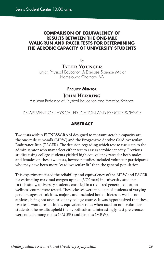#### **COMPARISON OF EQUIVALENCY OF RESULTS BETWEEN THE ONE-MILE WALK-RUN AND PACER TESTS FOR DETERMINING THE AEROBIC CAPACITY OF UNIVERSITY STUDENTS**

By

# **Tyler Younger**

Junior, Physical Education & Exercise Science Major Hometown: Chatham, VA

**Faculty Mentor**

# **John Herring**

Assistant Professor of Physical Education and Exercise Science

#### DEPARTMENT OF PHYSICAL EDUCATION AND EXERCISE SCIENCE

#### **ABSTRACT**

Two tests within FITNESSGRAM designed to measure aerobic capacity are the one-mile run/walk (MRW) and the Progressive Aerobic Cardiovascular Endurance Run (PACER). The decision regarding which test to use is up to the administrator who may select either test to assess aerobic capacity. Previous studies using college students yielded high equivalency rates for both males and females on these two tests, however studies included volunteer participants who may have been more "cardiovascular fit" than the general population.

This experiment tested the reliability and equivalency of the MRW and PACER for estimating maximal oxygen uptake (VO2max) in university students. In this study, university students enrolled in a required general education wellness course were tested. These classes were made up of students of varying genders, ages, ethnicities, majors, and included both athletes as well as nonathletes, being not atypical of any college course. It was hypothesized that these two tests would result in low equivalency rates when used on non-volunteer students. The results upheld the hypothesis and interestingly, test preferences were noted among males (PACER) and females (MRW).